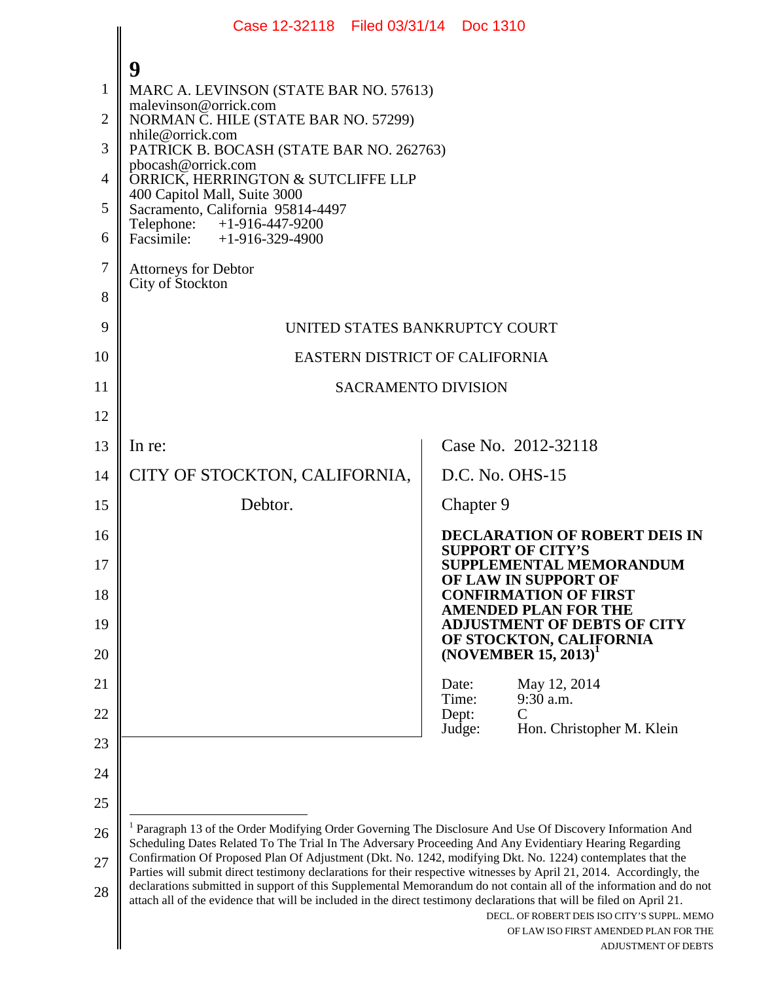|                | Case 12-32118 Filed 03/31/14 Doc 1310                                                                                                                                                                                                                                                                                                                                                                                                                                 |                                                                                                             |  |
|----------------|-----------------------------------------------------------------------------------------------------------------------------------------------------------------------------------------------------------------------------------------------------------------------------------------------------------------------------------------------------------------------------------------------------------------------------------------------------------------------|-------------------------------------------------------------------------------------------------------------|--|
|                | 9                                                                                                                                                                                                                                                                                                                                                                                                                                                                     |                                                                                                             |  |
| 1              | MARC A. LEVINSON (STATE BAR NO. 57613)                                                                                                                                                                                                                                                                                                                                                                                                                                |                                                                                                             |  |
| $\overline{2}$ | malevinson@orrick.com<br>NORMAN C. HILE (STATE BAR NO. 57299)                                                                                                                                                                                                                                                                                                                                                                                                         |                                                                                                             |  |
| 3              | nhile@orrick.com<br>PATRICK B. BOCASH (STATE BAR NO. 262763)                                                                                                                                                                                                                                                                                                                                                                                                          |                                                                                                             |  |
| 4              | pbocash@orrick.com<br>ORRICK, HERRINGTON & SUTCLIFFE LLP                                                                                                                                                                                                                                                                                                                                                                                                              |                                                                                                             |  |
| 5              | 400 Capitol Mall, Suite 3000<br>Sacramento, California 95814-4497                                                                                                                                                                                                                                                                                                                                                                                                     |                                                                                                             |  |
| 6              | Telephone: $+1-916-447-9200$<br>Facsimile: $+1-916-329-4900$                                                                                                                                                                                                                                                                                                                                                                                                          |                                                                                                             |  |
| 7              | <b>Attorneys for Debtor</b><br>City of Stockton                                                                                                                                                                                                                                                                                                                                                                                                                       |                                                                                                             |  |
| 8              |                                                                                                                                                                                                                                                                                                                                                                                                                                                                       |                                                                                                             |  |
| 9              | UNITED STATES BANKRUPTCY COURT                                                                                                                                                                                                                                                                                                                                                                                                                                        |                                                                                                             |  |
| 10             | EASTERN DISTRICT OF CALIFORNIA                                                                                                                                                                                                                                                                                                                                                                                                                                        |                                                                                                             |  |
| 11             | <b>SACRAMENTO DIVISION</b>                                                                                                                                                                                                                                                                                                                                                                                                                                            |                                                                                                             |  |
| 12             |                                                                                                                                                                                                                                                                                                                                                                                                                                                                       |                                                                                                             |  |
| 13             | In re:                                                                                                                                                                                                                                                                                                                                                                                                                                                                | Case No. 2012-32118                                                                                         |  |
| 14             | CITY OF STOCKTON, CALIFORNIA,                                                                                                                                                                                                                                                                                                                                                                                                                                         | D.C. No. OHS-15                                                                                             |  |
| 15             | Debtor.                                                                                                                                                                                                                                                                                                                                                                                                                                                               | Chapter 9                                                                                                   |  |
| 16             |                                                                                                                                                                                                                                                                                                                                                                                                                                                                       | <b>DECLARATION OF ROBERT DEIS IN</b><br><b>SUPPORT OF CITY'S</b>                                            |  |
| 17             |                                                                                                                                                                                                                                                                                                                                                                                                                                                                       | <b>SUPPLEMENTAL MEMORANDUM</b><br>OF LAW IN SUPPORT OF                                                      |  |
| 18             |                                                                                                                                                                                                                                                                                                                                                                                                                                                                       | <b>CONFIRMATION OF FIRST</b><br><b>AMENDED PLAN FOR THE</b>                                                 |  |
| 19             |                                                                                                                                                                                                                                                                                                                                                                                                                                                                       | <b>ADJUSTMENT OF DEBTS OF CITY</b><br>OF STOCKTON, CALIFORNIA                                               |  |
| 20             |                                                                                                                                                                                                                                                                                                                                                                                                                                                                       | $(NOVEMBER 15, 2013)^T$                                                                                     |  |
| 21             |                                                                                                                                                                                                                                                                                                                                                                                                                                                                       | Date:<br>May 12, 2014<br>Time:<br>9:30 a.m.                                                                 |  |
| 22             |                                                                                                                                                                                                                                                                                                                                                                                                                                                                       | Dept:<br>C<br>Judge:<br>Hon. Christopher M. Klein                                                           |  |
| 23             |                                                                                                                                                                                                                                                                                                                                                                                                                                                                       |                                                                                                             |  |
| 24             |                                                                                                                                                                                                                                                                                                                                                                                                                                                                       |                                                                                                             |  |
| 25             |                                                                                                                                                                                                                                                                                                                                                                                                                                                                       |                                                                                                             |  |
| 26             | <sup>1</sup> Paragraph 13 of the Order Modifying Order Governing The Disclosure And Use Of Discovery Information And<br>Scheduling Dates Related To The Trial In The Adversary Proceeding And Any Evidentiary Hearing Regarding<br>Confirmation Of Proposed Plan Of Adjustment (Dkt. No. 1242, modifying Dkt. No. 1224) contemplates that the<br>Parties will submit direct testimony declarations for their respective witnesses by April 21, 2014. Accordingly, the |                                                                                                             |  |
| 27             |                                                                                                                                                                                                                                                                                                                                                                                                                                                                       |                                                                                                             |  |
| 28             | declarations submitted in support of this Supplemental Memorandum do not contain all of the information and do not<br>attach all of the evidence that will be included in the direct testimony declarations that will be filed on April 21.                                                                                                                                                                                                                           | DECL. OF ROBERT DEIS ISO CITY'S SUPPL. MEMO<br>OF LAW ISO FIRST AMENDED PLAN FOR THE<br>ADJUSTMENT OF DEBTS |  |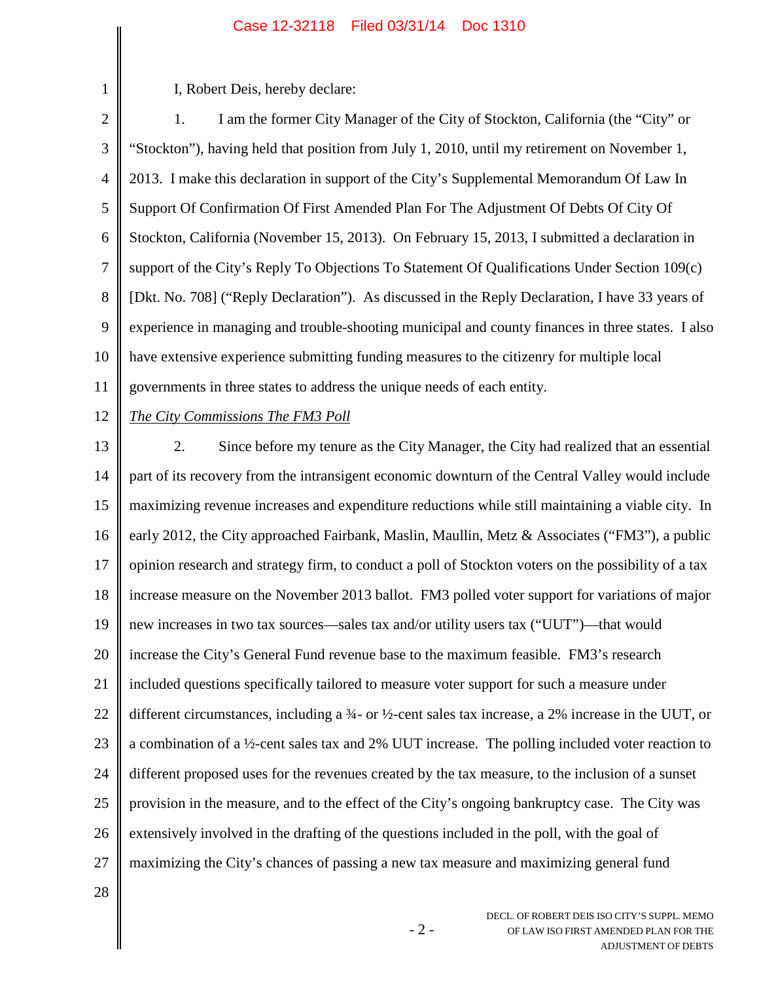I, Robert Deis, hereby declare:

2 3 4 5 6 7 8 9 10 11 1. I am the former City Manager of the City of Stockton, California (the "City" or "Stockton"), having held that position from July 1, 2010, until my retirement on November 1, 2013. I make this declaration in support of the City's Supplemental Memorandum Of Law In Support Of Confirmation Of First Amended Plan For The Adjustment Of Debts Of City Of Stockton, California (November 15, 2013). On February 15, 2013, I submitted a declaration in support of the City's Reply To Objections To Statement Of Qualifications Under Section 109(c) [Dkt. No. 708] ("Reply Declaration"). As discussed in the Reply Declaration, I have 33 years of experience in managing and trouble-shooting municipal and county finances in three states. I also have extensive experience submitting funding measures to the citizenry for multiple local governments in three states to address the unique needs of each entity.

12

1

# *The City Commissions The FM3 Poll*

13 14 15 16 17 18 19 20 21 22 23 24 25 26 27 2. Since before my tenure as the City Manager, the City had realized that an essential part of its recovery from the intransigent economic downturn of the Central Valley would include maximizing revenue increases and expenditure reductions while still maintaining a viable city. In early 2012, the City approached Fairbank, Maslin, Maullin, Metz & Associates ("FM3"), a public opinion research and strategy firm, to conduct a poll of Stockton voters on the possibility of a tax increase measure on the November 2013 ballot. FM3 polled voter support for variations of major new increases in two tax sources—sales tax and/or utility users tax ("UUT")—that would increase the City's General Fund revenue base to the maximum feasible. FM3's research included questions specifically tailored to measure voter support for such a measure under different circumstances, including a ¾- or ½-cent sales tax increase, a 2% increase in the UUT, or a combination of a ½-cent sales tax and 2% UUT increase. The polling included voter reaction to different proposed uses for the revenues created by the tax measure, to the inclusion of a sunset provision in the measure, and to the effect of the City's ongoing bankruptcy case. The City was extensively involved in the drafting of the questions included in the poll, with the goal of maximizing the City's chances of passing a new tax measure and maximizing general fund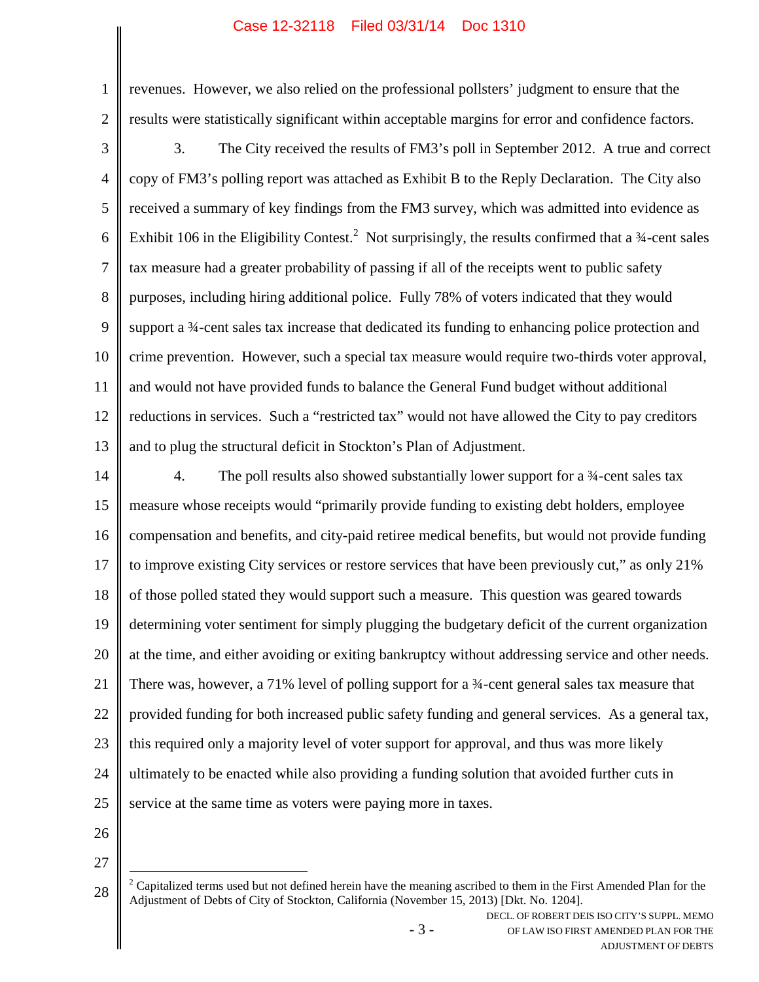revenues. However, we also relied on the professional pollsters' judgment to ensure that the results were statistically significant within acceptable margins for error and confidence factors.

3 4 5 6 7 8 9 10 11 12 13 3. The City received the results of FM3's poll in September 2012. A true and correct copy of FM3's polling report was attached as Exhibit B to the Reply Declaration. The City also received a summary of key findings from the FM3 survey, which was admitted into evidence as Exhibit 106 in the Eligibility Contest.<sup>2</sup> Not surprisingly, the results confirmed that a  $\frac{3}{4}$ -cent sales tax measure had a greater probability of passing if all of the receipts went to public safety purposes, including hiring additional police. Fully 78% of voters indicated that they would support a 3<sup>4</sup>-cent sales tax increase that dedicated its funding to enhancing police protection and crime prevention. However, such a special tax measure would require two-thirds voter approval, and would not have provided funds to balance the General Fund budget without additional reductions in services. Such a "restricted tax" would not have allowed the City to pay creditors and to plug the structural deficit in Stockton's Plan of Adjustment.

14 15 16 17 18 19 20 21 22 23 24 25 4. The poll results also showed substantially lower support for a 3<sup>4</sup>-cent sales tax measure whose receipts would "primarily provide funding to existing debt holders, employee compensation and benefits, and city-paid retiree medical benefits, but would not provide funding to improve existing City services or restore services that have been previously cut," as only 21% of those polled stated they would support such a measure. This question was geared towards determining voter sentiment for simply plugging the budgetary deficit of the current organization at the time, and either avoiding or exiting bankruptcy without addressing service and other needs. There was, however, a 71% level of polling support for a 34-cent general sales tax measure that provided funding for both increased public safety funding and general services. As a general tax, this required only a majority level of voter support for approval, and thus was more likely ultimately to be enacted while also providing a funding solution that avoided further cuts in service at the same time as voters were paying more in taxes.

26

27

1

<sup>28</sup>  $2^2$  Capitalized terms used but not defined herein have the meaning ascribed to them in the First Amended Plan for the Adjustment of Debts of City of Stockton, California (November 15, 2013) [Dkt. No. 1204].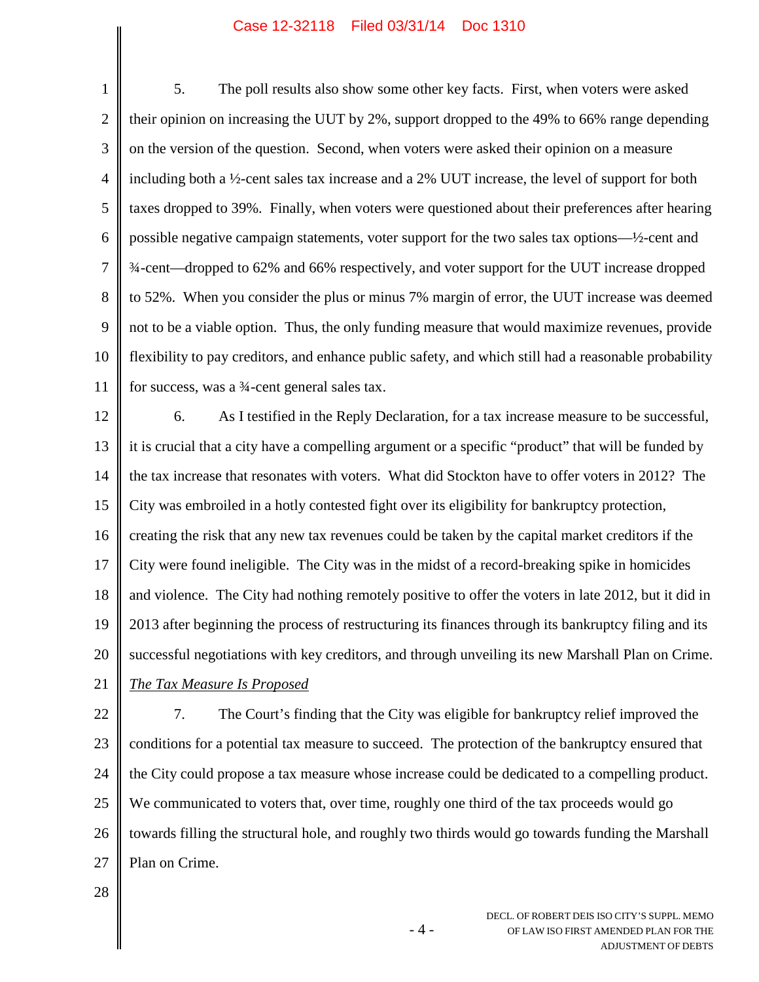1 2 3 4 5 6 7 8 9 10 11 5. The poll results also show some other key facts. First, when voters were asked their opinion on increasing the UUT by 2%, support dropped to the 49% to 66% range depending on the version of the question. Second, when voters were asked their opinion on a measure including both a ½-cent sales tax increase and a 2% UUT increase, the level of support for both taxes dropped to 39%. Finally, when voters were questioned about their preferences after hearing possible negative campaign statements, voter support for the two sales tax options—½-cent and ¾-cent—dropped to 62% and 66% respectively, and voter support for the UUT increase dropped to 52%. When you consider the plus or minus 7% margin of error, the UUT increase was deemed not to be a viable option. Thus, the only funding measure that would maximize revenues, provide flexibility to pay creditors, and enhance public safety, and which still had a reasonable probability for success, was a  $\frac{3}{4}$ -cent general sales tax.

12 13 14 15 16 17 18 19 20 21 6. As I testified in the Reply Declaration, for a tax increase measure to be successful, it is crucial that a city have a compelling argument or a specific "product" that will be funded by the tax increase that resonates with voters. What did Stockton have to offer voters in 2012? The City was embroiled in a hotly contested fight over its eligibility for bankruptcy protection, creating the risk that any new tax revenues could be taken by the capital market creditors if the City were found ineligible. The City was in the midst of a record-breaking spike in homicides and violence. The City had nothing remotely positive to offer the voters in late 2012, but it did in 2013 after beginning the process of restructuring its finances through its bankruptcy filing and its successful negotiations with key creditors, and through unveiling its new Marshall Plan on Crime.

*The Tax Measure Is Proposed*

22 23 24 25 26 27 7. The Court's finding that the City was eligible for bankruptcy relief improved the conditions for a potential tax measure to succeed. The protection of the bankruptcy ensured that the City could propose a tax measure whose increase could be dedicated to a compelling product. We communicated to voters that, over time, roughly one third of the tax proceeds would go towards filling the structural hole, and roughly two thirds would go towards funding the Marshall Plan on Crime.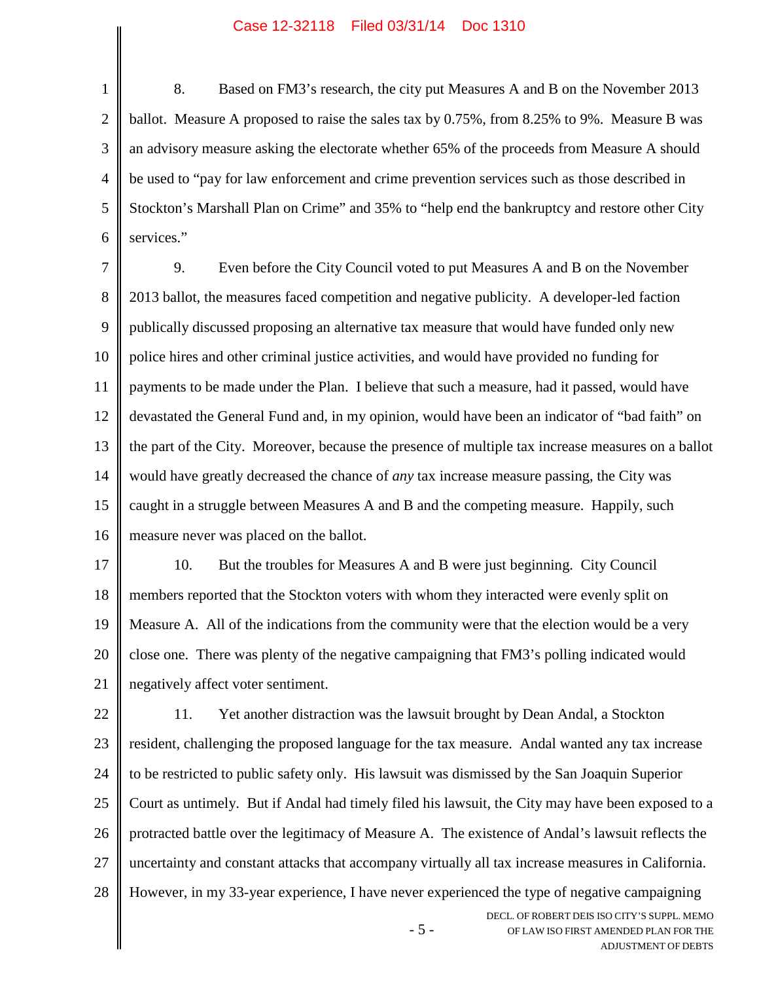1 2 3 4 5 6 8. Based on FM3's research, the city put Measures A and B on the November 2013 ballot. Measure A proposed to raise the sales tax by 0.75%, from 8.25% to 9%. Measure B was an advisory measure asking the electorate whether 65% of the proceeds from Measure A should be used to "pay for law enforcement and crime prevention services such as those described in Stockton's Marshall Plan on Crime" and 35% to "help end the bankruptcy and restore other City services."

7 8 9 10 11 12 13 14 15 16 9. Even before the City Council voted to put Measures A and B on the November 2013 ballot, the measures faced competition and negative publicity. A developer-led faction publically discussed proposing an alternative tax measure that would have funded only new police hires and other criminal justice activities, and would have provided no funding for payments to be made under the Plan. I believe that such a measure, had it passed, would have devastated the General Fund and, in my opinion, would have been an indicator of "bad faith" on the part of the City. Moreover, because the presence of multiple tax increase measures on a ballot would have greatly decreased the chance of *any* tax increase measure passing, the City was caught in a struggle between Measures A and B and the competing measure. Happily, such measure never was placed on the ballot.

17 18 19 20 21 10. But the troubles for Measures A and B were just beginning. City Council members reported that the Stockton voters with whom they interacted were evenly split on Measure A. All of the indications from the community were that the election would be a very close one. There was plenty of the negative campaigning that FM3's polling indicated would negatively affect voter sentiment.

DECL. OF ROBERT DEIS ISO CITY'S SUPPL. MEMO 22 23 24 25 26 27 28 11. Yet another distraction was the lawsuit brought by Dean Andal, a Stockton resident, challenging the proposed language for the tax measure. Andal wanted any tax increase to be restricted to public safety only. His lawsuit was dismissed by the San Joaquin Superior Court as untimely. But if Andal had timely filed his lawsuit, the City may have been exposed to a protracted battle over the legitimacy of Measure A. The existence of Andal's lawsuit reflects the uncertainty and constant attacks that accompany virtually all tax increase measures in California. However, in my 33-year experience, I have never experienced the type of negative campaigning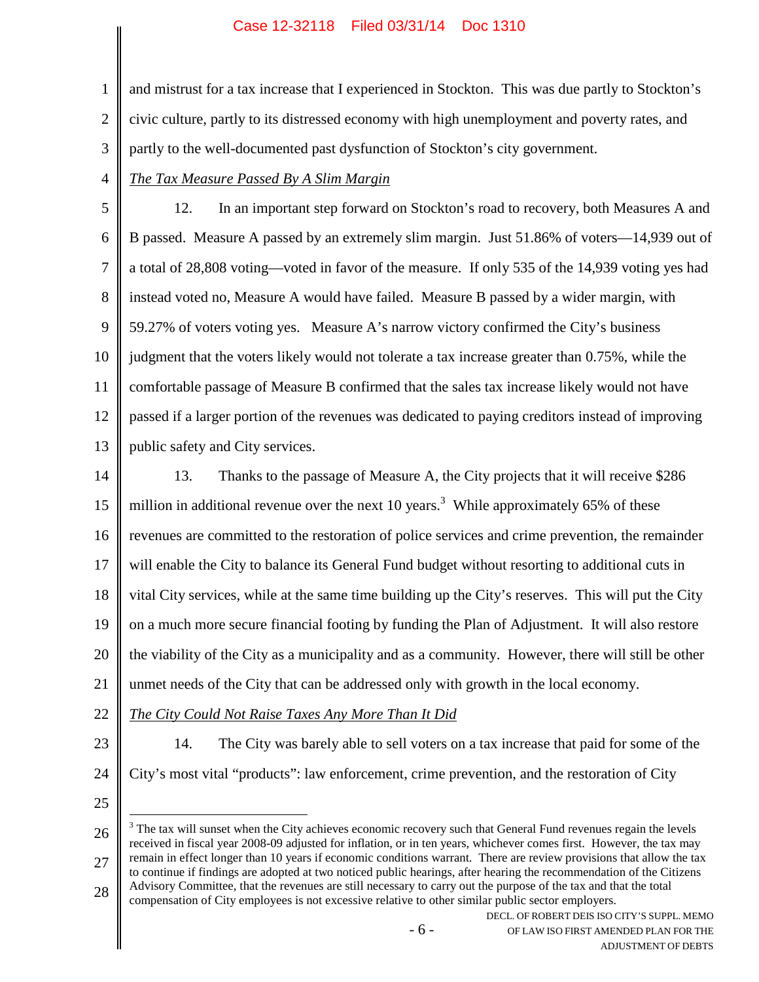1 2 3 and mistrust for a tax increase that I experienced in Stockton. This was due partly to Stockton's civic culture, partly to its distressed economy with high unemployment and poverty rates, and partly to the well-documented past dysfunction of Stockton's city government.

#### 4 *The Tax Measure Passed By A Slim Margin*

5 6 7 8 9 10 11 12 13 12. In an important step forward on Stockton's road to recovery, both Measures A and B passed. Measure A passed by an extremely slim margin. Just 51.86% of voters—14,939 out of a total of 28,808 voting—voted in favor of the measure. If only 535 of the 14,939 voting yes had instead voted no, Measure A would have failed. Measure B passed by a wider margin, with 59.27% of voters voting yes. Measure A's narrow victory confirmed the City's business judgment that the voters likely would not tolerate a tax increase greater than 0.75%, while the comfortable passage of Measure B confirmed that the sales tax increase likely would not have passed if a larger portion of the revenues was dedicated to paying creditors instead of improving public safety and City services.

14 15 16 17 18 19 20 21 13. Thanks to the passage of Measure A, the City projects that it will receive \$286 million in additional revenue over the next 10 years.<sup>3</sup> While approximately 65% of these revenues are committed to the restoration of police services and crime prevention, the remainder will enable the City to balance its General Fund budget without resorting to additional cuts in vital City services, while at the same time building up the City's reserves. This will put the City on a much more secure financial footing by funding the Plan of Adjustment. It will also restore the viability of the City as a municipality and as a community. However, there will still be other unmet needs of the City that can be addressed only with growth in the local economy.

- 22 *The City Could Not Raise Taxes Any More Than It Did*
- 23

14. The City was barely able to sell voters on a tax increase that paid for some of the City's most vital "products": law enforcement, crime prevention, and the restoration of City

25

24

26 27  $3$  The tax will sunset when the City achieves economic recovery such that General Fund revenues regain the levels received in fiscal year 2008-09 adjusted for inflation, or in ten years, whichever comes first. However, the tax may remain in effect longer than 10 years if economic conditions warrant. There are review provisions that allow the tax to continue if findings are adopted at two noticed public hearings, after hearing the recommendation of the Citizens Advisory Committee, that the revenues are still necessary to carry out the purpose of the tax and that the total

28 compensation of City employees is not excessive relative to other similar public sector employers.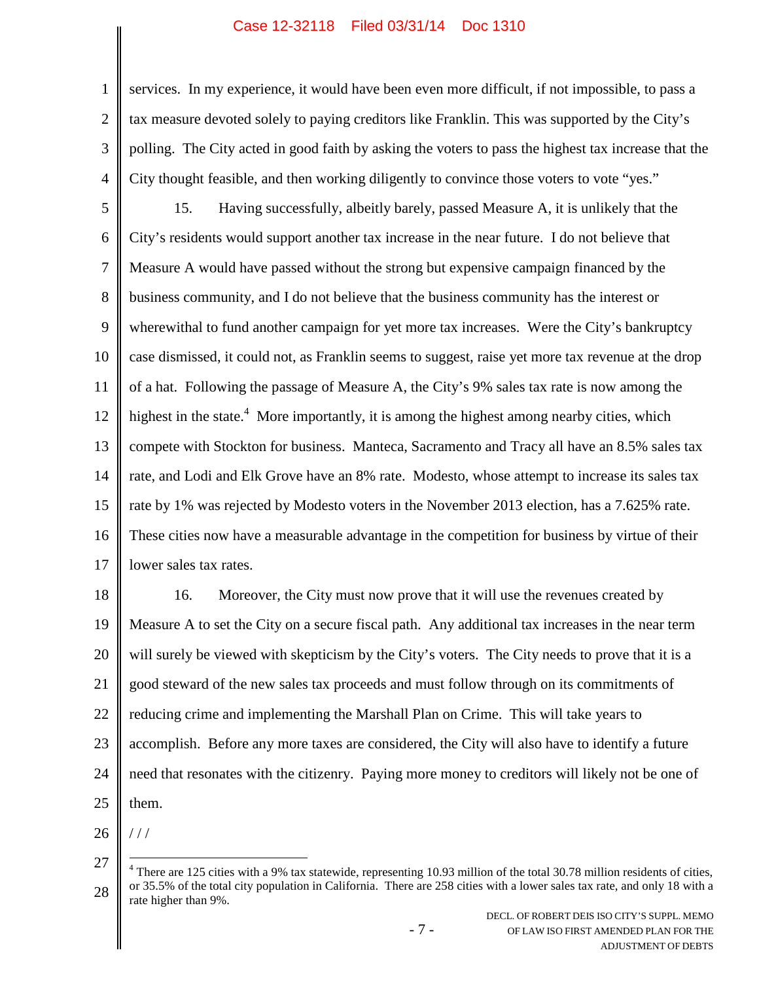services. In my experience, it would have been even more difficult, if not impossible, to pass a tax measure devoted solely to paying creditors like Franklin. This was supported by the City's polling. The City acted in good faith by asking the voters to pass the highest tax increase that the City thought feasible, and then working diligently to convince those voters to vote "yes."

5 6 7 8 9 10 11 12 13 14 15 16 17 15. Having successfully, albeitly barely, passed Measure A, it is unlikely that the City's residents would support another tax increase in the near future. I do not believe that Measure A would have passed without the strong but expensive campaign financed by the business community, and I do not believe that the business community has the interest or wherewithal to fund another campaign for yet more tax increases. Were the City's bankruptcy case dismissed, it could not, as Franklin seems to suggest, raise yet more tax revenue at the drop of a hat. Following the passage of Measure A, the City's 9% sales tax rate is now among the highest in the state.<sup>4</sup> More importantly, it is among the highest among nearby cities, which compete with Stockton for business. Manteca, Sacramento and Tracy all have an 8.5% sales tax rate, and Lodi and Elk Grove have an 8% rate. Modesto, whose attempt to increase its sales tax rate by 1% was rejected by Modesto voters in the November 2013 election, has a 7.625% rate. These cities now have a measurable advantage in the competition for business by virtue of their lower sales tax rates.

18 19 20 21 22 23 24 25 16. Moreover, the City must now prove that it will use the revenues created by Measure A to set the City on a secure fiscal path. Any additional tax increases in the near term will surely be viewed with skepticism by the City's voters. The City needs to prove that it is a good steward of the new sales tax proceeds and must follow through on its commitments of reducing crime and implementing the Marshall Plan on Crime. This will take years to accomplish. Before any more taxes are considered, the City will also have to identify a future need that resonates with the citizenry. Paying more money to creditors will likely not be one of them.

1

2

3

<sup>26</sup> / / /

<sup>27</sup>

<sup>28</sup>  $4$  There are 125 cities with a 9% tax statewide, representing 10.93 million of the total 30.78 million residents of cities, or 35.5% of the total city population in California. There are 258 cities with a lower sales tax rate, and only 18 with a rate higher than 9%.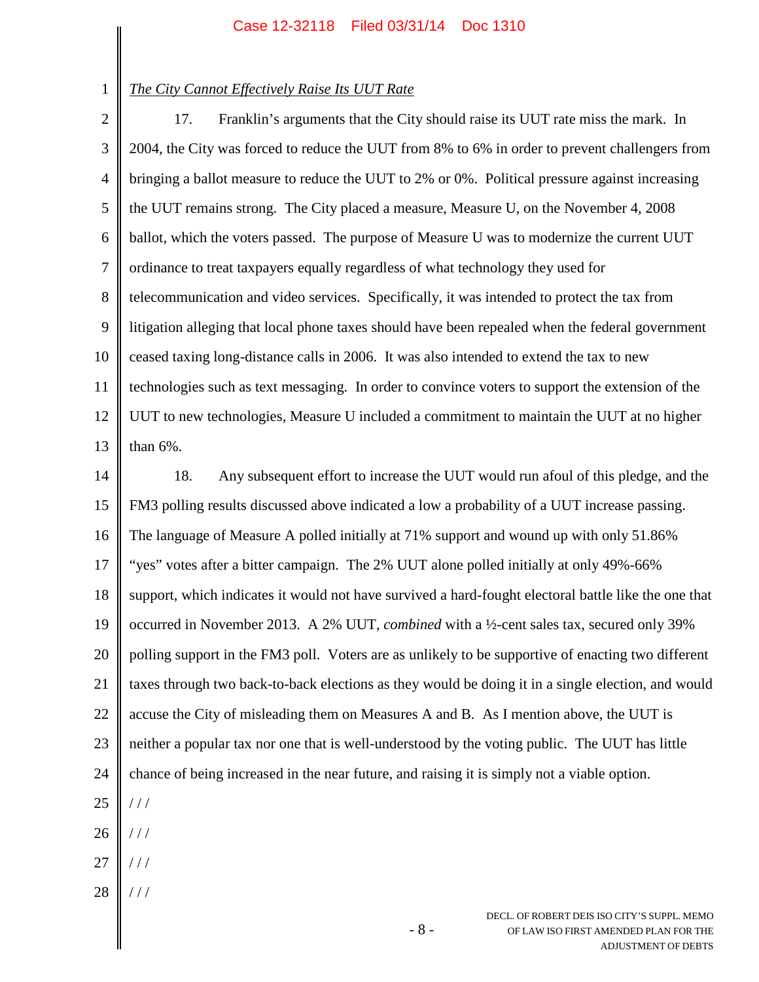1

# *The City Cannot Effectively Raise Its UUT Rate*

2 3 4 5 6 7 8 9 10 11 12 13 17. Franklin's arguments that the City should raise its UUT rate miss the mark. In 2004, the City was forced to reduce the UUT from 8% to 6% in order to prevent challengers from bringing a ballot measure to reduce the UUT to 2% or 0%. Political pressure against increasing the UUT remains strong. The City placed a measure, Measure U, on the November 4, 2008 ballot, which the voters passed. The purpose of Measure U was to modernize the current UUT ordinance to treat taxpayers equally regardless of what technology they used for telecommunication and video services. Specifically, it was intended to protect the tax from litigation alleging that local phone taxes should have been repealed when the federal government ceased taxing long-distance calls in 2006. It was also intended to extend the tax to new technologies such as text messaging. In order to convince voters to support the extension of the UUT to new technologies, Measure U included a commitment to maintain the UUT at no higher than 6%.

14 15 16 17 18 19 20 21 22 23 24 25 26 27 18. Any subsequent effort to increase the UUT would run afoul of this pledge, and the FM3 polling results discussed above indicated a low a probability of a UUT increase passing. The language of Measure A polled initially at 71% support and wound up with only 51.86% "yes" votes after a bitter campaign. The 2% UUT alone polled initially at only 49%-66% support, which indicates it would not have survived a hard-fought electoral battle like the one that occurred in November 2013. A 2% UUT, *combined* with a ½-cent sales tax, secured only 39% polling support in the FM3 poll. Voters are as unlikely to be supportive of enacting two different taxes through two back-to-back elections as they would be doing it in a single election, and would accuse the City of misleading them on Measures A and B. As I mention above, the UUT is neither a popular tax nor one that is well-understood by the voting public. The UUT has little chance of being increased in the near future, and raising it is simply not a viable option. / / / / / / / / /

28 / / /